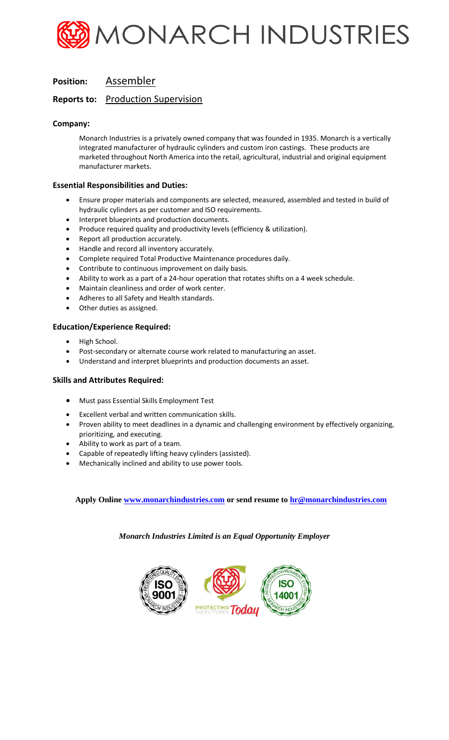

# **Position:** Assembler

# **Reports to:** Production Supervision

## **Company:**

Monarch Industries is a privately owned company that was founded in 1935. Monarch is a vertically integrated manufacturer of hydraulic cylinders and custom iron castings. These products are marketed throughout North America into the retail, agricultural, industrial and original equipment manufacturer markets.

#### **Essential Responsibilities and Duties:**

- Ensure proper materials and components are selected, measured, assembled and tested in build of hydraulic cylinders as per customer and ISO requirements.
- Interpret blueprints and production documents.
- Produce required quality and productivity levels (efficiency & utilization).
- Report all production accurately.
- Handle and record all inventory accurately.
- Complete required Total Productive Maintenance procedures daily.
- Contribute to continuous improvement on daily basis.
- Ability to work as a part of a 24-hour operation that rotates shifts on a 4 week schedule.
- Maintain cleanliness and order of work center.
- Adheres to all Safety and Health standards.
- Other duties as assigned.

## **Education/Experience Required:**

- High School.
- Post-secondary or alternate course work related to manufacturing an asset.
- Understand and interpret blueprints and production documents an asset.

#### **Skills and Attributes Required:**

- Must pass Essential Skills Employment Test
- Excellent verbal and written communication skills.
- Proven ability to meet deadlines in a dynamic and challenging environment by effectively organizing, prioritizing, and executing.
- Ability to work as part of a team.
- Capable of repeatedly lifting heavy cylinders (assisted).
- Mechanically inclined and ability to use power tools.

**Apply Onlin[e www.monarchindustries.com](http://www.monarchindustries.com/) or send resume to [hr@monarchindustries.com](mailto:hr@monarchindustries.com)**

*Monarch Industries Limited is an Equal Opportunity Employer*